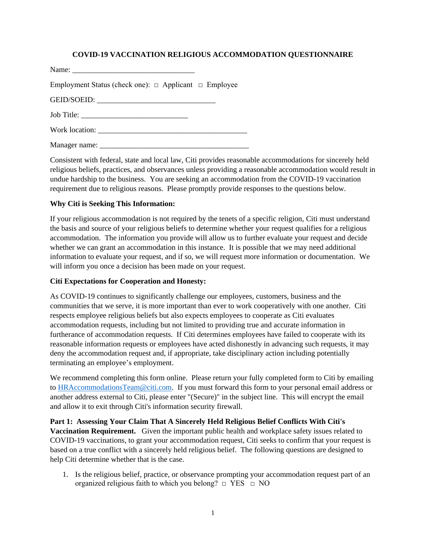## **COVID-19 VACCINATION RELIGIOUS ACCOMMODATION QUESTIONNAIRE**

| Name: |  |
|-------|--|
|       |  |

Employment Status (check one):  $\Box$  Applicant  $\Box$  Employee

GEID/SOEID:

Job Title:

| Work location: |
|----------------|
|----------------|

Manager name:

Consistent with federal, state and local law, Citi provides reasonable accommodations for sincerely held religious beliefs, practices, and observances unless providing a reasonable accommodation would result in undue hardship to the business. You are seeking an accommodation from the COVID-19 vaccination requirement due to religious reasons. Please promptly provide responses to the questions below.

## **Why Citi is Seeking This Information:**

If your religious accommodation is not required by the tenets of a specific religion, Citi must understand the basis and source of your religious beliefs to determine whether your request qualifies for a religious accommodation. The information you provide will allow us to further evaluate your request and decide whether we can grant an accommodation in this instance. It is possible that we may need additional information to evaluate your request, and if so, we will request more information or documentation. We will inform you once a decision has been made on your request.

## **Citi Expectations for Cooperation and Honesty:**

As COVID-19 continues to significantly challenge our employees, customers, business and the communities that we serve, it is more important than ever to work cooperatively with one another. Citi respects employee religious beliefs but also expects employees to cooperate as Citi evaluates accommodation requests, including but not limited to providing true and accurate information in furtherance of accommodation requests. If Citi determines employees have failed to cooperate with its reasonable information requests or employees have acted dishonestly in advancing such requests, it may deny the accommodation request and, if appropriate, take disciplinary action including potentially terminating an employee's employment.

We recommend completing this form online. Please return your fully completed form to Citi by emailing to [HRAccommodationsTeam@citi.com.](mailto:NAMHRPS-COVID@imcnam.ssmb.com) If you must forward this form to your personal email address or another address external to Citi, please enter "(Secure)" in the subject line. This will encrypt the email and allow it to exit through Citi's information security firewall.

**Part 1: Assessing Your Claim That A Sincerely Held Religious Belief Conflicts With Citi's Vaccination Requirement.** Given the important public health and workplace safety issues related to COVID-19 vaccinations, to grant your accommodation request, Citi seeks to confirm that your request is based on a true conflict with a sincerely held religious belief. The following questions are designed to help Citi determine whether that is the case.

1. Is the religious belief, practice, or observance prompting your accommodation request part of an organized religious faith to which you belong?  $\Box$  YES  $\Box$  NO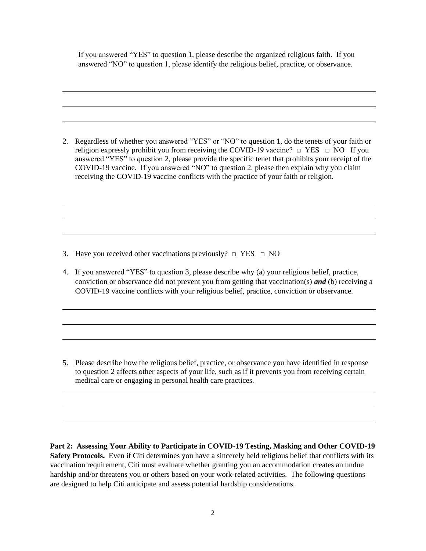If you answered "YES" to question 1, please describe the organized religious faith. If you answered "NO" to question 1, please identify the religious belief, practice, or observance.

2. Regardless of whether you answered "YES" or "NO" to question 1, do the tenets of your faith or religion expressly prohibit you from receiving the COVID-19 vaccine?  $\Box$  YES  $\Box$  NO If you answered "YES" to question 2, please provide the specific tenet that prohibits your receipt of the COVID-19 vaccine. If you answered "NO" to question 2, please then explain why you claim receiving the COVID-19 vaccine conflicts with the practice of your faith or religion.

3. Have you received other vaccinations previously?  $\Box$  YES  $\Box$  NO

4. If you answered "YES" to question 3, please describe why (a) your religious belief, practice, conviction or observance did not prevent you from getting that vaccination(s) *and* (b) receiving a COVID-19 vaccine conflicts with your religious belief, practice, conviction or observance.

5. Please describe how the religious belief, practice, or observance you have identified in response to question 2 affects other aspects of your life, such as if it prevents you from receiving certain medical care or engaging in personal health care practices.

**Part 2: Assessing Your Ability to Participate in COVID-19 Testing, Masking and Other COVID-19 Safety Protocols.** Even if Citi determines you have a sincerely held religious belief that conflicts with its vaccination requirement, Citi must evaluate whether granting you an accommodation creates an undue hardship and/or threatens you or others based on your work-related activities. The following questions are designed to help Citi anticipate and assess potential hardship considerations.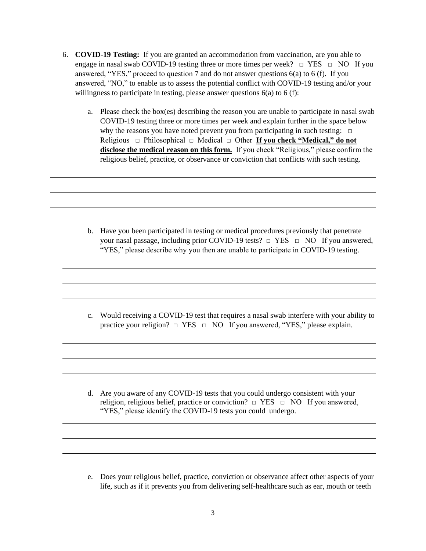- 6. **COVID-19 Testing:** If you are granted an accommodation from vaccination, are you able to engage in nasal swab COVID-19 testing three or more times per week?  $\Box$  YES  $\Box$  NO If you answered, "YES," proceed to question 7 and do not answer questions 6(a) to 6 (f). If you answered, "NO," to enable us to assess the potential conflict with COVID-19 testing and/or your willingness to participate in testing, please answer questions  $6(a)$  to  $6(f)$ :
	- a. Please check the box(es) describing the reason you are unable to participate in nasal swab COVID-19 testing three or more times per week and explain further in the space below why the reasons you have noted prevent you from participating in such testing:  $\Box$ Religious □ Philosophical □ Medical □ Other **If you check "Medical," do not disclose the medical reason on this form.** If you check "Religious," please confirm the religious belief, practice, or observance or conviction that conflicts with such testing.

b. Have you been participated in testing or medical procedures previously that penetrate your nasal passage, including prior COVID-19 tests? □ YES □ NO If you answered, "YES," please describe why you then are unable to participate in COVID-19 testing.

c. Would receiving a COVID-19 test that requires a nasal swab interfere with your ability to practice your religion?  $\Box$  YES  $\Box$  NO If you answered, "YES," please explain.

d. Are you aware of any COVID-19 tests that you could undergo consistent with your religion, religious belief, practice or conviction?  $\Box$  YES  $\Box$  NO If you answered, "YES," please identify the COVID-19 tests you could undergo.

e. Does your religious belief, practice, conviction or observance affect other aspects of your life, such as if it prevents you from delivering self-healthcare such as ear, mouth or teeth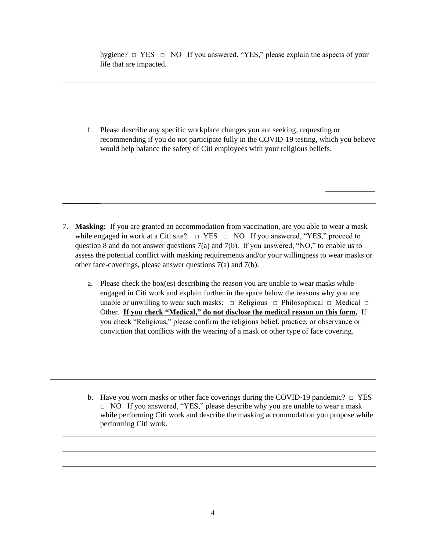hygiene?  $\Box$  YES  $\Box$  NO If you answered, "YES," please explain the aspects of your life that are impacted.

f. Please describe any specific workplace changes you are seeking, requesting or recommending if you do not participate fully in the COVID-19 testing, which you believe would help balance the safety of Citi employees with your religious beliefs.

 $\overline{\phantom{a}}$ 

7. **Masking:** If you are granted an accommodation from vaccination, are you able to wear a mask while engaged in work at a Citi site?  $\Box$  YES  $\Box$  NO If you answered, "YES," proceed to question 8 and do not answer questions 7(a) and 7(b). If you answered, "NO," to enable us to assess the potential conflict with masking requirements and/or your willingness to wear masks or other face-coverings, please answer questions 7(a) and 7(b):

 $\overline{\phantom{a}}$ 

a. Please check the box(es) describing the reason you are unable to wear masks while engaged in Citi work and explain further in the space below the reasons why you are unable or unwilling to wear such masks:  $\Box$  Religious  $\Box$  Philosophical  $\Box$  Medical  $\Box$ Other. **If you check "Medical," do not disclose the medical reason on this form.** If you check "Religious," please confirm the religious belief, practice, or observance or conviction that conflicts with the wearing of a mask or other type of face covering.

b. Have you worn masks or other face coverings during the COVID-19 pandemic?  $\Box$  YES □ NO If you answered, "YES," please describe why you are unable to wear a mask while performing Citi work and describe the masking accommodation you propose while performing Citi work.